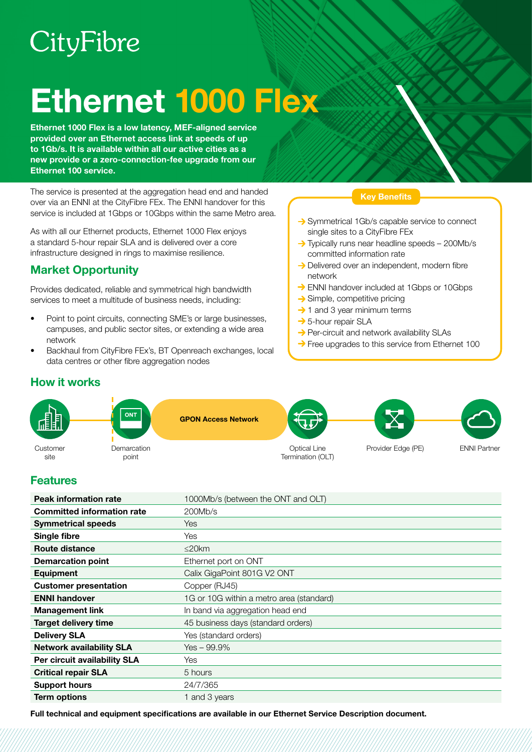# CityFibre

# Ethernet 1000 Flex

Ethernet 1000 Flex is a low latency, MEF-aligned service provided over an Ethernet access link at speeds of up to 1Gb/s. It is available within all our active cities as a new provide or a zero-connection-fee upgrade from our Ethernet 100 service.

The service is presented at the aggregation head end and handed over via an ENNI at the CityFibre FEx. The ENNI handover for this service is included at 1Gbps or 10Gbps within the same Metro area.

As with all our Ethernet products, Ethernet 1000 Flex enjoys a standard 5-hour repair SLA and is delivered over a core infrastructure designed in rings to maximise resilience.

# Market Opportunity

Provides dedicated, reliable and symmetrical high bandwidth services to meet a multitude of business needs, including:

- Point to point circuits, connecting SME's or large businesses, campuses, and public sector sites, or extending a wide area network
- Backhaul from CityFibre FEx's, BT Openreach exchanges, local data centres or other fibre aggregation nodes

### Key Benefits

- Symmetrical 1Gb/s capable service to connect single sites to a CityFibre FEx
- → Typically runs near headline speeds 200Mb/s committed information rate
- $\rightarrow$  Delivered over an independent, modern fibre network
- → ENNI handover included at 1Gbps or 10Gbps
- $\rightarrow$  Simple, competitive pricing
- $\rightarrow$  1 and 3 year minimum terms
- → 5-hour repair SLA
- $\rightarrow$  Per-circuit and network availability SLAs
- $\rightarrow$  Free upgrades to this service from Ethernet 100

## How it works



## Features

| <b>Peak information rate</b>      | 1000Mb/s (between the ONT and OLT)       |
|-----------------------------------|------------------------------------------|
| <b>Committed information rate</b> | 200Mb/s                                  |
| <b>Symmetrical speeds</b>         | <b>Yes</b>                               |
| Single fibre                      | Yes                                      |
| Route distance                    | $\leq$ 20 $km$                           |
| <b>Demarcation point</b>          | Ethernet port on ONT                     |
| <b>Equipment</b>                  | Calix GigaPoint 801G V2 ONT              |
| <b>Customer presentation</b>      | Copper (RJ45)                            |
| <b>ENNI handover</b>              | 1G or 10G within a metro area (standard) |
| <b>Management link</b>            | In band via aggregation head end         |
| Target delivery time              | 45 business days (standard orders)       |
| <b>Delivery SLA</b>               | Yes (standard orders)                    |
| <b>Network availability SLA</b>   | $Yes - 99.9\%$                           |
| Per circuit availability SLA      | Yes                                      |
| <b>Critical repair SLA</b>        | 5 hours                                  |
| <b>Support hours</b>              | 24/7/365                                 |
| <b>Term options</b>               | 1 and 3 years                            |

Full technical and equipment specifications are available in our Ethernet Service Description document.